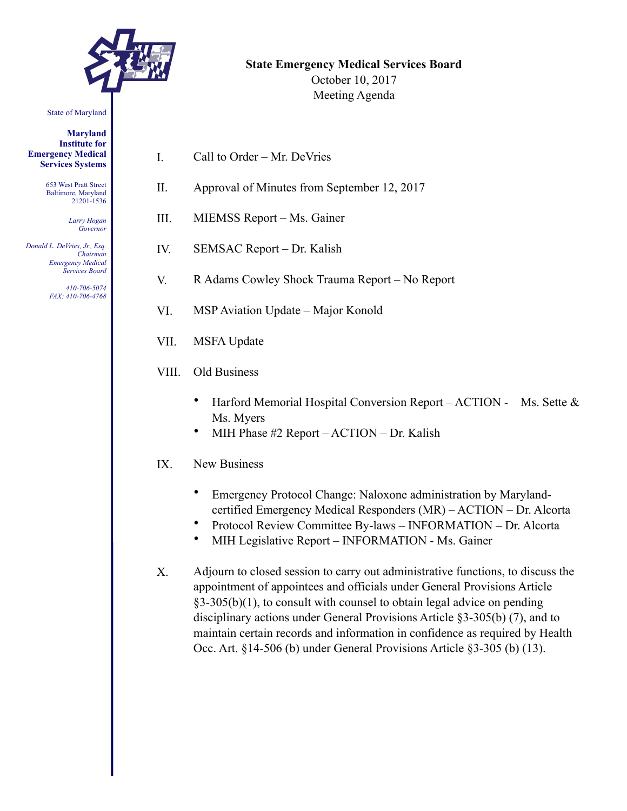

# **State Emergency Medical Services Board**

October 10, 2017 Meeting Agenda

State of Maryland

**Maryland Institute for Emergency Medical Services Systems** 

> 653 West Pratt Street Baltimore, Maryland 21201-1536

> > *Larry Hogan Governor*

*Donald L. DeVries, Jr., Esq. Chairman Emergency Medical Services Board* 

> *410-706-5074 FAX: 410-706-4768*

- I. Call to Order Mr. DeVries
- II. Approval of Minutes from September 12, 2017
- III. MIEMSS Report Ms. Gainer
- IV. SEMSAC Report Dr. Kalish
- V. R Adams Cowley Shock Trauma Report No Report
- VI. MSP Aviation Update Major Konold
- VII. MSFA Update
- VIII. Old Business
	- Harford Memorial Hospital Conversion Report ACTION Ms. Sette & Ms. Myers
	- MIH Phase #2 Report ACTION Dr. Kalish
- IX. New Business
	- Emergency Protocol Change: Naloxone administration by Marylandcertified Emergency Medical Responders (MR) – ACTION – Dr. Alcorta
	- Protocol Review Committee By-laws INFORMATION Dr. Alcorta
	- MIH Legislative Report INFORMATION Ms. Gainer
- X. Adjourn to closed session to carry out administrative functions, to discuss the appointment of appointees and officials under General Provisions Article §3-305(b)(1), to consult with counsel to obtain legal advice on pending disciplinary actions under General Provisions Article §3-305(b) (7), and to maintain certain records and information in confidence as required by Health Occ. Art. §14-506 (b) under General Provisions Article §3-305 (b) (13).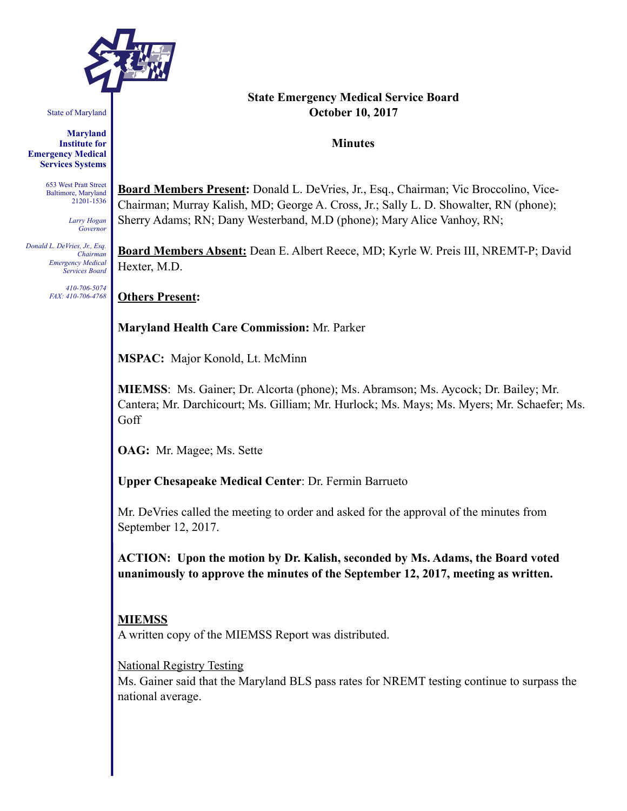

State of Maryland

**Maryland Institute for Emergency Medical Services Systems** 

> 653 West Pratt Street Baltimore, Maryland 21201-1536

> > *Larry Hogan Governor*

*Donald L. DeVries, Jr., Esq. Chairman Emergency Medical Services Board* 

> *410-706-5074 FAX: 410-706-4768*

#### **State Emergency Medical Service Board October 10, 2017**

#### **Minutes**

**Board Members Present:** Donald L. DeVries, Jr., Esq., Chairman; Vic Broccolino, Vice-Chairman; Murray Kalish, MD; George A. Cross, Jr.; Sally L. D. Showalter, RN (phone); Sherry Adams; RN; Dany Westerband, M.D (phone); Mary Alice Vanhoy, RN;

**Board Members Absent:** Dean E. Albert Reece, MD; Kyrle W. Preis III, NREMT-P; David Hexter, M.D.

**Others Present:** 

**Maryland Health Care Commission:** Mr. Parker

**MSPAC:** Major Konold, Lt. McMinn

**MIEMSS**: Ms. Gainer; Dr. Alcorta (phone); Ms. Abramson; Ms. Aycock; Dr. Bailey; Mr. Cantera; Mr. Darchicourt; Ms. Gilliam; Mr. Hurlock; Ms. Mays; Ms. Myers; Mr. Schaefer; Ms. Goff

**OAG:** Mr. Magee; Ms. Sette

**Upper Chesapeake Medical Center**: Dr. Fermin Barrueto

Mr. DeVries called the meeting to order and asked for the approval of the minutes from September 12, 2017.

**ACTION: Upon the motion by Dr. Kalish, seconded by Ms. Adams, the Board voted unanimously to approve the minutes of the September 12, 2017, meeting as written.** 

## **MIEMSS**

A written copy of the MIEMSS Report was distributed.

National Registry Testing

Ms. Gainer said that the Maryland BLS pass rates for NREMT testing continue to surpass the national average.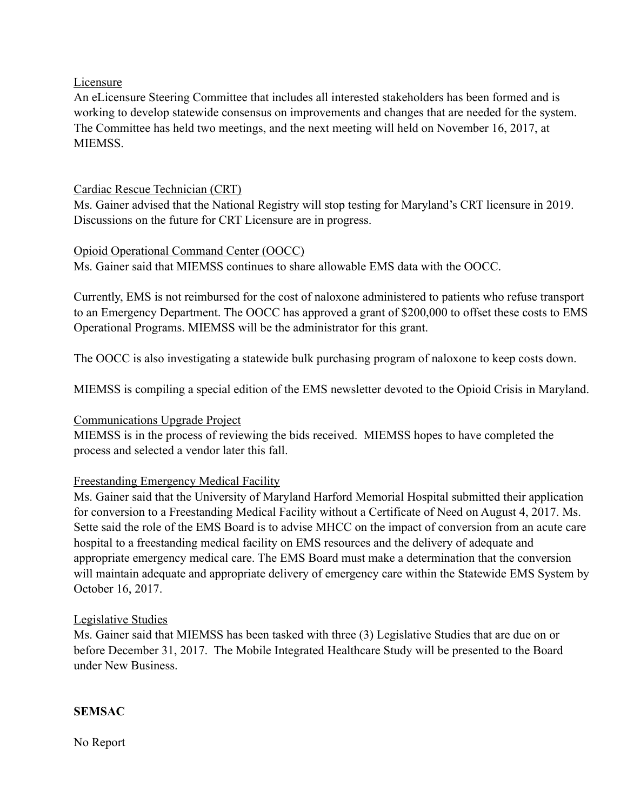#### Licensure

An eLicensure Steering Committee that includes all interested stakeholders has been formed and is working to develop statewide consensus on improvements and changes that are needed for the system. The Committee has held two meetings, and the next meeting will held on November 16, 2017, at **MIEMSS** 

## Cardiac Rescue Technician (CRT)

Ms. Gainer advised that the National Registry will stop testing for Maryland's CRT licensure in 2019. Discussions on the future for CRT Licensure are in progress.

## Opioid Operational Command Center (OOCC)

Ms. Gainer said that MIEMSS continues to share allowable EMS data with the OOCC.

Currently, EMS is not reimbursed for the cost of naloxone administered to patients who refuse transport to an Emergency Department. The OOCC has approved a grant of \$200,000 to offset these costs to EMS Operational Programs. MIEMSS will be the administrator for this grant.

The OOCC is also investigating a statewide bulk purchasing program of naloxone to keep costs down.

MIEMSS is compiling a special edition of the EMS newsletter devoted to the Opioid Crisis in Maryland.

#### Communications Upgrade Project

MIEMSS is in the process of reviewing the bids received. MIEMSS hopes to have completed the process and selected a vendor later this fall.

#### Freestanding Emergency Medical Facility

Ms. Gainer said that the University of Maryland Harford Memorial Hospital submitted their application for conversion to a Freestanding Medical Facility without a Certificate of Need on August 4, 2017. Ms. Sette said the role of the EMS Board is to advise MHCC on the impact of conversion from an acute care hospital to a freestanding medical facility on EMS resources and the delivery of adequate and appropriate emergency medical care. The EMS Board must make a determination that the conversion will maintain adequate and appropriate delivery of emergency care within the Statewide EMS System by October 16, 2017.

#### Legislative Studies

Ms. Gainer said that MIEMSS has been tasked with three (3) Legislative Studies that are due on or before December 31, 2017. The Mobile Integrated Healthcare Study will be presented to the Board under New Business.

#### **SEMSAC**

No Report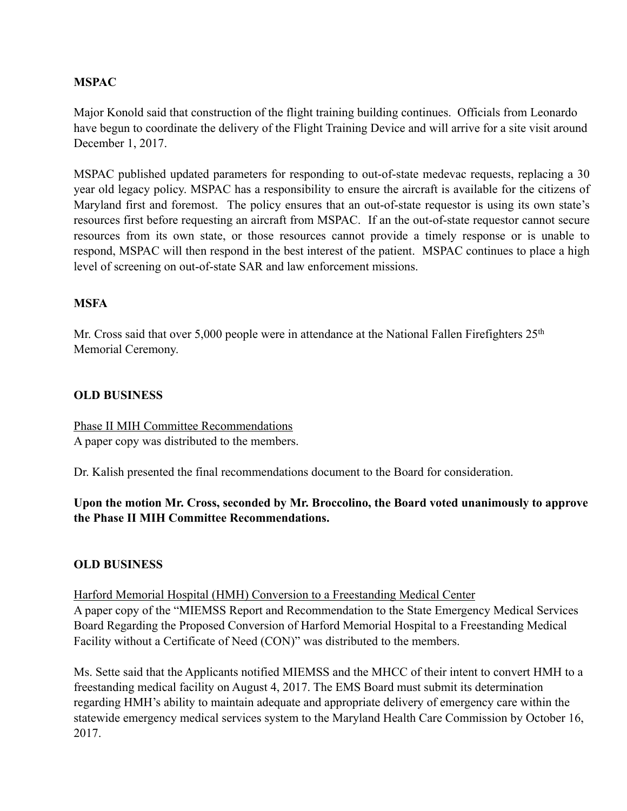## **MSPAC**

Major Konold said that construction of the flight training building continues. Officials from Leonardo have begun to coordinate the delivery of the Flight Training Device and will arrive for a site visit around December 1, 2017.

MSPAC published updated parameters for responding to out-of-state medevac requests, replacing a 30 year old legacy policy. MSPAC has a responsibility to ensure the aircraft is available for the citizens of Maryland first and foremost. The policy ensures that an out-of-state requestor is using its own state's resources first before requesting an aircraft from MSPAC. If an the out-of-state requestor cannot secure resources from its own state, or those resources cannot provide a timely response or is unable to respond, MSPAC will then respond in the best interest of the patient. MSPAC continues to place a high level of screening on out-of-state SAR and law enforcement missions.

#### **MSFA**

Mr. Cross said that over 5,000 people were in attendance at the National Fallen Firefighters 25<sup>th</sup> Memorial Ceremony.

#### **OLD BUSINESS**

Phase II MIH Committee Recommendations A paper copy was distributed to the members.

Dr. Kalish presented the final recommendations document to the Board for consideration.

**Upon the motion Mr. Cross, seconded by Mr. Broccolino, the Board voted unanimously to approve the Phase II MIH Committee Recommendations.** 

#### **OLD BUSINESS**

Harford Memorial Hospital (HMH) Conversion to a Freestanding Medical Center

A paper copy of the "MIEMSS Report and Recommendation to the State Emergency Medical Services Board Regarding the Proposed Conversion of Harford Memorial Hospital to a Freestanding Medical Facility without a Certificate of Need (CON)" was distributed to the members.

Ms. Sette said that the Applicants notified MIEMSS and the MHCC of their intent to convert HMH to a freestanding medical facility on August 4, 2017. The EMS Board must submit its determination regarding HMH's ability to maintain adequate and appropriate delivery of emergency care within the statewide emergency medical services system to the Maryland Health Care Commission by October 16, 2017.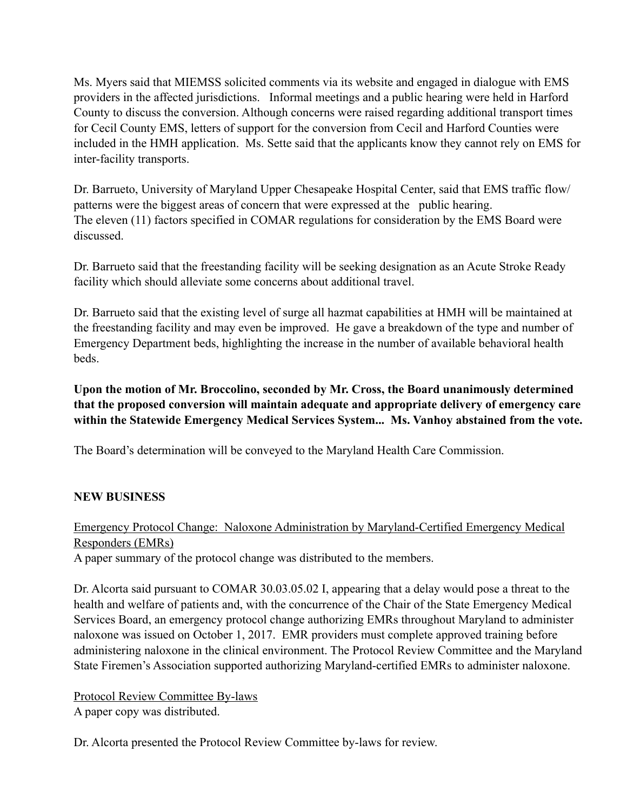Ms. Myers said that MIEMSS solicited comments via its website and engaged in dialogue with EMS providers in the affected jurisdictions. Informal meetings and a public hearing were held in Harford County to discuss the conversion. Although concerns were raised regarding additional transport times for Cecil County EMS, letters of support for the conversion from Cecil and Harford Counties were included in the HMH application. Ms. Sette said that the applicants know they cannot rely on EMS for inter-facility transports.

Dr. Barrueto, University of Maryland Upper Chesapeake Hospital Center, said that EMS traffic flow/ patterns were the biggest areas of concern that were expressed at the public hearing. The eleven (11) factors specified in COMAR regulations for consideration by the EMS Board were discussed.

Dr. Barrueto said that the freestanding facility will be seeking designation as an Acute Stroke Ready facility which should alleviate some concerns about additional travel.

Dr. Barrueto said that the existing level of surge all hazmat capabilities at HMH will be maintained at the freestanding facility and may even be improved. He gave a breakdown of the type and number of Emergency Department beds, highlighting the increase in the number of available behavioral health beds.

**Upon the motion of Mr. Broccolino, seconded by Mr. Cross, the Board unanimously determined that the proposed conversion will maintain adequate and appropriate delivery of emergency care within the Statewide Emergency Medical Services System... Ms. Vanhoy abstained from the vote.** 

The Board's determination will be conveyed to the Maryland Health Care Commission.

#### **NEW BUSINESS**

Emergency Protocol Change: Naloxone Administration by Maryland-Certified Emergency Medical Responders (EMRs)

A paper summary of the protocol change was distributed to the members.

Dr. Alcorta said pursuant to COMAR 30.03.05.02 I, appearing that a delay would pose a threat to the health and welfare of patients and, with the concurrence of the Chair of the State Emergency Medical Services Board, an emergency protocol change authorizing EMRs throughout Maryland to administer naloxone was issued on October 1, 2017. EMR providers must complete approved training before administering naloxone in the clinical environment. The Protocol Review Committee and the Maryland State Firemen's Association supported authorizing Maryland-certified EMRs to administer naloxone.

Protocol Review Committee By-laws A paper copy was distributed.

Dr. Alcorta presented the Protocol Review Committee by-laws for review.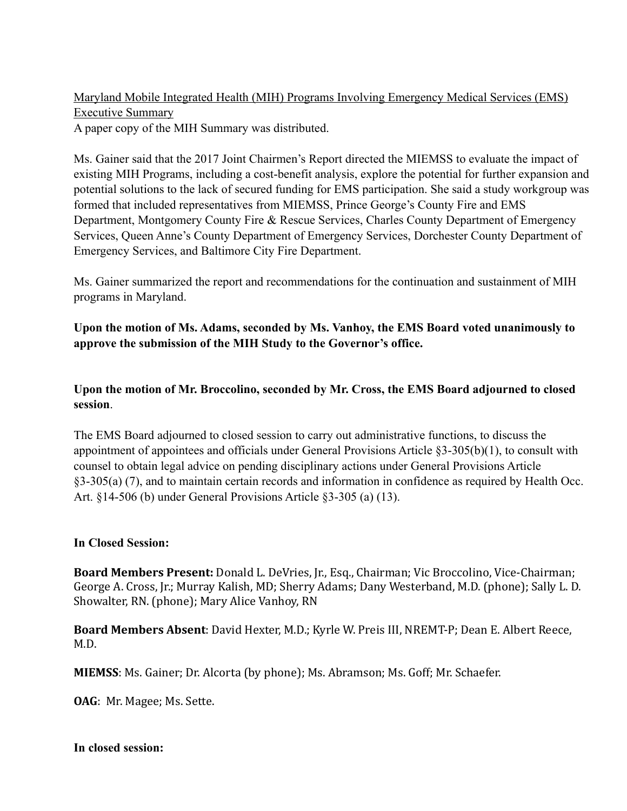Maryland Mobile Integrated Health (MIH) Programs Involving Emergency Medical Services (EMS) Executive Summary A paper copy of the MIH Summary was distributed.

Ms. Gainer said that the 2017 Joint Chairmen's Report directed the MIEMSS to evaluate the impact of existing MIH Programs, including a cost-benefit analysis, explore the potential for further expansion and potential solutions to the lack of secured funding for EMS participation. She said a study workgroup was formed that included representatives from MIEMSS, Prince George's County Fire and EMS Department, Montgomery County Fire & Rescue Services, Charles County Department of Emergency Services, Queen Anne's County Department of Emergency Services, Dorchester County Department of Emergency Services, and Baltimore City Fire Department.

Ms. Gainer summarized the report and recommendations for the continuation and sustainment of MIH programs in Maryland.

**Upon the motion of Ms. Adams, seconded by Ms. Vanhoy, the EMS Board voted unanimously to approve the submission of the MIH Study to the Governor's office.** 

**Upon the motion of Mr. Broccolino, seconded by Mr. Cross, the EMS Board adjourned to closed session**.

The EMS Board adjourned to closed session to carry out administrative functions, to discuss the appointment of appointees and officials under General Provisions Article §3-305(b)(1), to consult with counsel to obtain legal advice on pending disciplinary actions under General Provisions Article §3-305(a) (7), and to maintain certain records and information in confidence as required by Health Occ. Art. §14-506 (b) under General Provisions Article §3-305 (a) (13).

#### **In Closed Session:**

**Board Members Present:** Donald L. DeVries, Jr., Esq., Chairman; Vic Broccolino, Vice-Chairman; George A. Cross, Ir.; Murray Kalish, MD; Sherry Adams; Dany Westerband, M.D. (phone); Sally L. D. Showalter, RN. (phone); Mary Alice Vanhoy, RN

Board Members Absent: David Hexter, M.D.; Kyrle W. Preis III, NREMT-P; Dean E. Albert Reece, M.D. 

**MIEMSS**: Ms. Gainer; Dr. Alcorta (by phone); Ms. Abramson; Ms. Goff; Mr. Schaefer.

**OAG**: Mr. Magee; Ms. Sette.

**In closed session:**